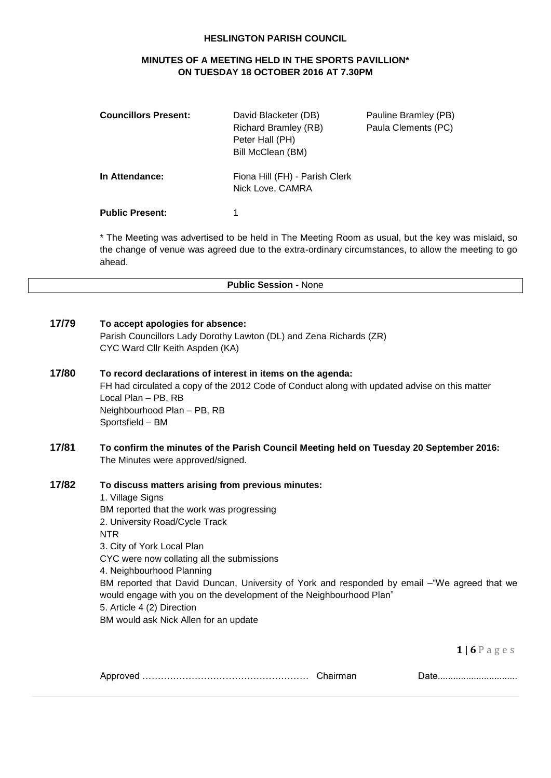#### **HESLINGTON PARISH COUNCIL**

# **MINUTES OF A MEETING HELD IN THE SPORTS PAVILLION\* ON TUESDAY 18 OCTOBER 2016 AT 7.30PM**

| <b>Councillors Present:</b> | David Blacketer (DB)<br><b>Richard Bramley (RB)</b><br>Peter Hall (PH)<br>Bill McClean (BM) | Pauline Bramley (PB)<br>Paula Clements (PC) |
|-----------------------------|---------------------------------------------------------------------------------------------|---------------------------------------------|
| In Attendance:              | Fiona Hill (FH) - Parish Clerk<br>Nick Love, CAMRA                                          |                                             |
| <b>Public Present:</b>      |                                                                                             |                                             |

\* The Meeting was advertised to be held in The Meeting Room as usual, but the key was mislaid, so the change of venue was agreed due to the extra-ordinary circumstances, to allow the meeting to go ahead.

**Public Session -** None

#### **17/79 To accept apologies for absence:**

Parish Councillors Lady Dorothy Lawton (DL) and Zena Richards (ZR) CYC Ward Cllr Keith Aspden (KA)

## **17/80 To record declarations of interest in items on the agenda:** FH had circulated a copy of the 2012 Code of Conduct along with updated advise on this matter Local Plan – PB, RB Neighbourhood Plan – PB, RB Sportsfield – BM

## **17/81 To confirm the minutes of the Parish Council Meeting held on Tuesday 20 September 2016:** The Minutes were approved/signed.

## **17/82 To discuss matters arising from previous minutes:**

1. Village Signs BM reported that the work was progressing 2. University Road/Cycle Track NTR 3. City of York Local Plan CYC were now collating all the submissions 4. Neighbourhood Planning BM reported that David Duncan, University of York and responded by email –"We agreed that we would engage with you on the development of the Neighbourhood Plan" 5. Article 4 (2) Direction BM would ask Nick Allen for an update

**1 | 6** P a g e s

|  |  | <u> Dalv</u> |
|--|--|--------------|
|--|--|--------------|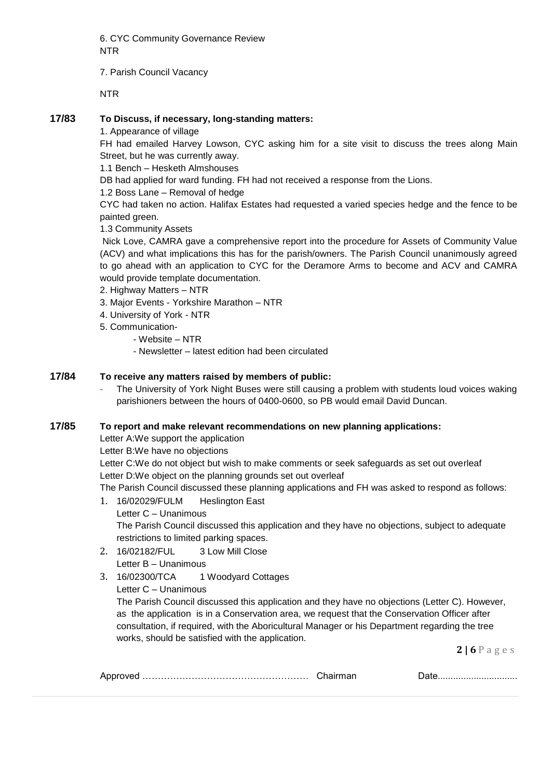6. CYC Community Governance Review NTR

7. Parish Council Vacancy

NTR

## **17/83 To Discuss, if necessary, long-standing matters:**

1. Appearance of village

FH had emailed Harvey Lowson, CYC asking him for a site visit to discuss the trees along Main Street, but he was currently away.

1.1 Bench – Hesketh Almshouses

DB had applied for ward funding. FH had not received a response from the Lions.

1.2 Boss Lane – Removal of hedge

CYC had taken no action. Halifax Estates had requested a varied species hedge and the fence to be painted green.

1.3 Community Assets

Nick Love, CAMRA gave a comprehensive report into the procedure for Assets of Community Value (ACV) and what implications this has for the parish/owners. The Parish Council unanimously agreed to go ahead with an application to CYC for the Deramore Arms to become and ACV and CAMRA would provide template documentation.

## 2. Highway Matters – NTR

- 3. Major Events Yorkshire Marathon NTR
- 4. University of York NTR
- 5. Communication-
	- Website NTR
	- Newsletter latest edition had been circulated

## **17/84 To receive any matters raised by members of public:**

The University of York Night Buses were still causing a problem with students loud voices waking parishioners between the hours of 0400-0600, so PB would email David Duncan.

#### **17/85 To report and make relevant recommendations on new planning applications:**

Letter A:We support the application

Letter B:We have no objections

Letter C:We do not object but wish to make comments or seek safeguards as set out overleaf Letter D:We object on the planning grounds set out overleaf

The Parish Council discussed these planning applications and FH was asked to respond as follows:

- 1. 16/02029/FULM Heslington East Letter C – Unanimous The Parish Council discussed this application and they have no objections, subject to adequate restrictions to limited parking spaces.
- 2. 16/02182/FUL 3 Low Mill Close Letter B – Unanimous
- 3. 16/02300/TCA 1 Woodyard Cottages

Letter C – Unanimous

The Parish Council discussed this application and they have no objections (Letter C). However, as the application is in a Conservation area, we request that the Conservation Officer after consultation, if required, with the Aboricultural Manager or his Department regarding the tree works, should be satisfied with the application.

**2 | 6** P a g e s

|--|--|--|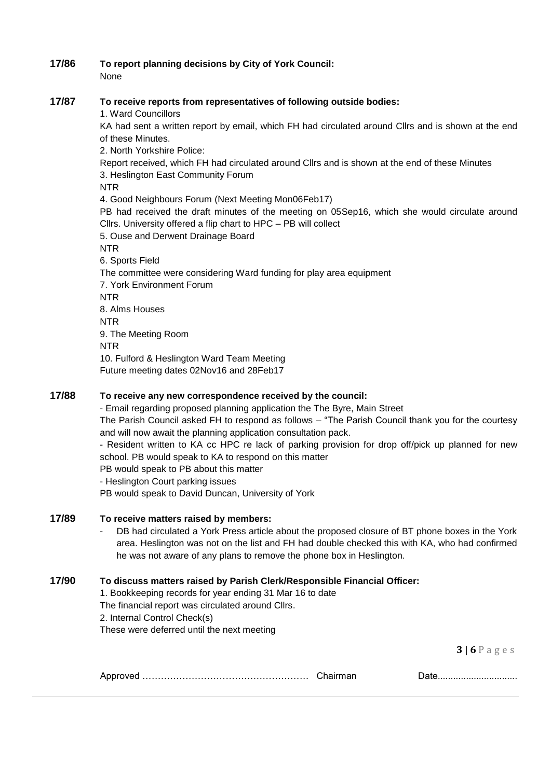#### **17/86 To report planning decisions by City of York Council:** None

#### **17/87 To receive reports from representatives of following outside bodies:**

1. Ward Councillors

KA had sent a written report by email, which FH had circulated around Cllrs and is shown at the end of these Minutes.

2. North Yorkshire Police:

Report received, which FH had circulated around Cllrs and is shown at the end of these Minutes 3. Heslington East Community Forum

NTR

4. Good Neighbours Forum (Next Meeting Mon06Feb17)

PB had received the draft minutes of the meeting on 05Sep16, which she would circulate around Cllrs. University offered a flip chart to HPC – PB will collect

5. Ouse and Derwent Drainage Board

NTR

6. Sports Field The committee were considering Ward funding for play area equipment 7. York Environment Forum

NTR

8. Alms Houses

NTR

9. The Meeting Room

NTR

10. Fulford & Heslington Ward Team Meeting

Future meeting dates 02Nov16 and 28Feb17

# **17/88 To receive any new correspondence received by the council:**

- Email regarding proposed planning application the The Byre, Main Street The Parish Council asked FH to respond as follows – "The Parish Council thank you for the courtesy and will now await the planning application consultation pack.

- Resident written to KA cc HPC re lack of parking provision for drop off/pick up planned for new school. PB would speak to KA to respond on this matter

PB would speak to PB about this matter

- Heslington Court parking issues

PB would speak to David Duncan, University of York

# **17/89 To receive matters raised by members:**

DB had circulated a York Press article about the proposed closure of BT phone boxes in the York area. Heslington was not on the list and FH had double checked this with KA, who had confirmed he was not aware of any plans to remove the phone box in Heslington.

# **17/90 To discuss matters raised by Parish Clerk/Responsible Financial Officer:**

1. Bookkeeping records for year ending 31 Mar 16 to date

The financial report was circulated around Cllrs.

2. Internal Control Check(s)

These were deferred until the next meeting

**3 | 6** P a g e s

| <b>ADDIT</b> |  | <u>Dalv</u> |
|--------------|--|-------------|
|--------------|--|-------------|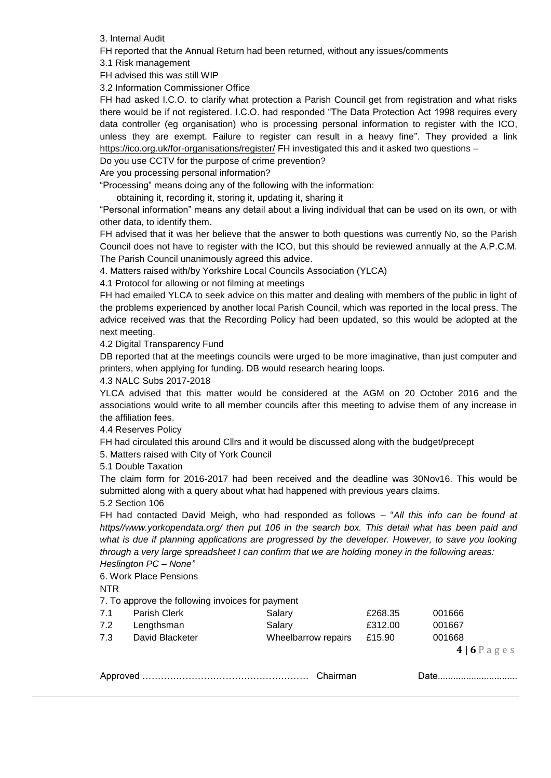3. Internal Audit

FH reported that the Annual Return had been returned, without any issues/comments

3.1 Risk management

FH advised this was still WIP

3.2 Information Commissioner Office

FH had asked I.C.O. to clarify what protection a Parish Council get from registration and what risks there would be if not registered. I.C.O. had responded "The Data Protection Act 1998 requires every data controller (eg organisation) who is processing personal information to register with the ICO, unless they are exempt. Failure to register can result in a heavy fine". They provided a link <https://ico.org.uk/for-organisations/register/> FH investigated this and it asked two questions –

Do you use CCTV for the purpose of crime prevention?

Are you processing personal information?

"Processing" means doing any of the following with the information:

obtaining it, recording it, storing it, updating it, sharing it

"Personal information" means any detail about a living individual that can be used on its own, or with other data, to identify them.

FH advised that it was her believe that the answer to both questions was currently No, so the Parish Council does not have to register with the ICO, but this should be reviewed annually at the A.P.C.M. The Parish Council unanimously agreed this advice.

4. Matters raised with/by Yorkshire Local Councils Association (YLCA)

4.1 Protocol for allowing or not filming at meetings

FH had emailed YLCA to seek advice on this matter and dealing with members of the public in light of the problems experienced by another local Parish Council, which was reported in the local press. The advice received was that the Recording Policy had been updated, so this would be adopted at the next meeting.

4.2 Digital Transparency Fund

DB reported that at the meetings councils were urged to be more imaginative, than just computer and printers, when applying for funding. DB would research hearing loops.

4.3 NALC Subs 2017-2018

YLCA advised that this matter would be considered at the AGM on 20 October 2016 and the associations would write to all member councils after this meeting to advise them of any increase in the affiliation fees.

4.4 Reserves Policy

FH had circulated this around Cllrs and it would be discussed along with the budget/precept

5. Matters raised with City of York Council

5.1 Double Taxation

The claim form for 2016-2017 had been received and the deadline was 30Nov16. This would be submitted along with a query about what had happened with previous years claims.

5.2 Section 106

FH had contacted David Meigh, who had responded as follows – "*All this info can be found at https//www.yorkopendata.org/ then put 106 in the search box. This detail what has been paid and*  what is due if planning applications are progressed by the developer. However, to save you looking *through a very large spreadsheet I can confirm that we are holding money in the following areas: Heslington PC – None"*

6. Work Place Pensions

NTR

7. To approve the following invoices for payment

| 7.1 | Parish Clerk    | Salary              | £268.35 | 001666      |
|-----|-----------------|---------------------|---------|-------------|
| 7.2 | Lengthsman      | Salary              | £312.00 | 001667      |
| 7.3 | David Blacketer | Wheelbarrow repairs | £15.90  | 001668      |
|     |                 |                     |         | $4 6P$ ages |

|--|--|--|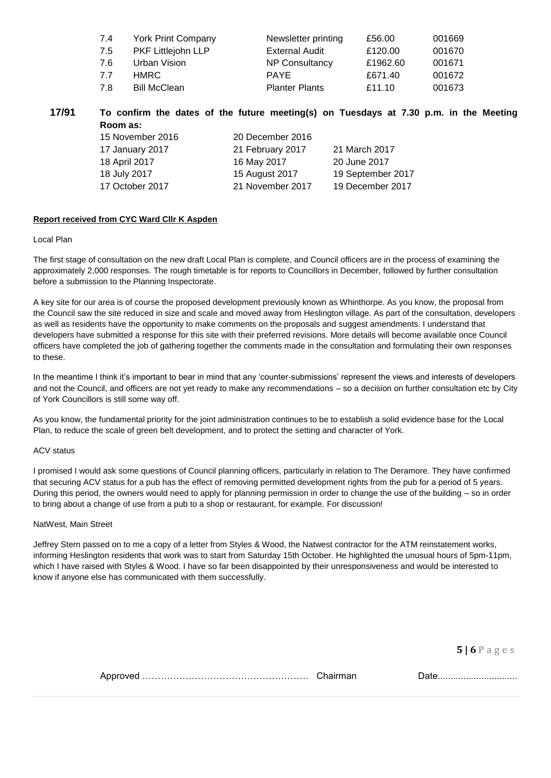| 7.4  | <b>York Print Company</b> | Newsletter printing   | £56.00   | 001669 |
|------|---------------------------|-----------------------|----------|--------|
| 7.5  | PKF Littlejohn LLP        | <b>External Audit</b> | £120.00  | 001670 |
| 7.6  | Urban Vision              | NP Consultancy        | £1962.60 | 001671 |
| 77   | HMRC.                     | <b>PAYE</b>           | £671.40  | 001672 |
| -7.8 | <b>Bill McClean</b>       | <b>Planter Plants</b> | £11.10   | 001673 |

**17/91 To confirm the dates of the future meeting(s) on Tuesdays at 7.30 p.m. in the Meeting Room as:** 15 November 2016 20 December 2016

| 17 January 2017 | 21 February 2017 | 21 March 2017     |
|-----------------|------------------|-------------------|
| 18 April 2017   | 16 May 2017      | 20 June 2017      |
| 18 July 2017    | 15 August 2017   | 19 September 2017 |
| 17 October 2017 | 21 November 2017 | 19 December 2017  |
|                 |                  |                   |

#### **Report received from CYC Ward Cllr K Aspden**

#### Local Plan

The first stage of consultation on the new draft Local Plan is complete, and Council officers are in the process of examining the approximately 2,000 responses. The rough timetable is for reports to Councillors in December, followed by further consultation before a submission to the Planning Inspectorate.

A key site for our area is of course the proposed development previously known as Whinthorpe. As you know, the proposal from the Council saw the site reduced in size and scale and moved away from Heslington village. As part of the consultation, developers as well as residents have the opportunity to make comments on the proposals and suggest amendments. I understand that developers have submitted a response for this site with their preferred revisions. More details will become available once Council officers have completed the job of gathering together the comments made in the consultation and formulating their own responses to these.

In the meantime I think it's important to bear in mind that any 'counter-submissions' represent the views and interests of developers and not the Council, and officers are not yet ready to make any recommendations – so a decision on further consultation etc by City of York Councillors is still some way off.

As you know, the fundamental priority for the joint administration continues to be to establish a solid evidence base for the Local Plan, to reduce the scale of green belt development, and to protect the setting and character of York.

#### ACV status

I promised I would ask some questions of Council planning officers, particularly in relation to The Deramore. They have confirmed that securing ACV status for a pub has the effect of removing permitted development rights from the pub for a period of 5 years. During this period, the owners would need to apply for planning permission in order to change the use of the building – so in order to bring about a change of use from a pub to a shop or restaurant, for example. For discussion!

#### NatWest, Main Street

Jeffrey Stern passed on to me a copy of a letter from Styles & Wood, the Natwest contractor for the ATM reinstatement works, informing Heslington residents that work was to start from Saturday 15th October. He highlighted the unusual hours of 5pm-11pm, which I have raised with Styles & Wood. I have so far been disappointed by their unresponsiveness and would be interested to know if anyone else has communicated with them successfully.

**5 | 6** P a g e s

Approved ……………………………………………… Chairman Date...............................